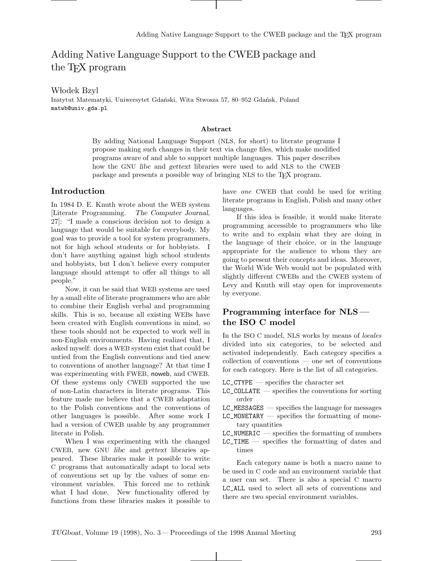# Adding Native Language Support to the CWEB package and the TEX program

Włodek Bzyl

Instytut Matematyki, Uniwersytet Gdański, Wita Stwosza 57, 80–952 Gdańsk, Poland matwb@univ.gda.pl

#### **Abstract**

By adding National Language Support (NLS, for short) to literate programs I propose making such changes in their text via change files, which make modified programs aware of and able to support multiple languages. This paper describes how the GNU *libc* and *gettext* libraries were used to add NLS to the CWEB package and presents a possible way of bringing NLS to the TFX program.

### **Introduction**

In 1984 D. E. Knuth wrote about the WEB system [Literate Programming. *The Computer Journal*, 27]: "I made a conscious decision not to design a language that would be suitable for everybody. My goal was to provide a tool for system programmers, not for high school students or for hobbyists. I don't have anything against high school students and hobbyists, but I don't believe every computer language should attempt to offer all things to all people."

Now, it can be said that WEB systems are used by a small elite of literate programmers who are able to combine their English verbal and programming skills. This is so, because all existing WEBs have been created with English conventions in mind, so these tools should not be expected to work well in non-English environments. Having realized that, I asked myself: does a WEB system exist that could be untied from the English conventions and tied anew to conventions of another language? At that time I was experimenting with FWEB, noweb, and CWEB. Of these systems only CWEB supported the use of non-Latin characters in literate programs. This feature made me believe that a CWEB adaptation to the Polish conventions and the conventions of other languages is possible. After some work I had a version of CWEB usable by any programmer literate in Polish.

When I was experimenting with the changed CWEB, new GNU *libc* and *gettext* libraries appeared. These libraries make it possible to write C programs that automatically adapt to local sets of conventions set up by the values of some environment variables. This forced me to rethink what I had done. New functionality offered by functions from these libraries makes it possible to have one CWEB that could be used for writing literate programs in English, Polish and many other languages.

If this idea is feasible, it would make literate programming accessible to programmers who like to write and to explain what they are doing in the language of their choice, or in the language appropriate for the audience to whom they are going to present their concepts and ideas. Moreover, the World Wide Web would not be populated with slightly different CWEBs and the CWEB system of Levy and Knuth will stay open for improvements by everyone.

# **Programming interface for NLS the ISO C model**

In the ISO C model, NLS works by means of *locales* divided into six categories, to be selected and activated independently. Each category specifies a collection of conventions — one set of conventions for each category. Here is the list of all categories.

- $LC_C$ CTYPE specifies the character set
- $LC\_COLLATE$  specifies the conventions for sorting order
- $LC$ \_MESSAGES specifies the language for messages
- $LC_MONETARY$  specifies the formatting of monetary quantities
- $LC_N$ NUMERIC specifies the formatting of numbers
- LC\_TIME specifies the formatting of dates and times

Each category name is both a macro name to be used in C code and an environment variable that a user can set. There is also a special C macro LC\_ALL used to select all sets of conventions and there are two special environment variables.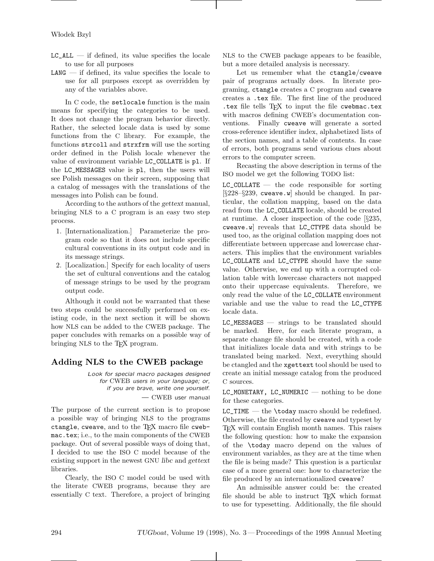- $LC\_ALL$  if defined, its value specifies the locale to use for all purposes
- $LMG$  if defined, its value specifies the locale to use for all purposes except as overridden by any of the variables above.

In C code, the setlocale function is the main means for specifying the categories to be used. It does not change the program behavior directly. Rather, the selected locale data is used by some functions from the C library. For example, the functions strcoll and strxfrm will use the sorting order defined in the Polish locale whenever the value of environment variable LC\_COLLATE is pl. If the LC\_MESSAGES value is pl, then the users will see Polish messages on their screen, supposing that a catalog of messages with the translations of the messages into Polish can be found.

According to the authors of the *gettext* manual, bringing NLS to a C program is an easy two step process.

- 1. [Internationalization.] Parameterize the program code so that it does not include specific cultural conventions in its output code and in its message strings.
- 2. [Localization.] Specify for each locality of users the set of cultural conventions and the catalog of message strings to be used by the program output code.

Although it could not be warranted that these two steps could be successfully performed on existing code, in the next section it will be shown how NLS can be added to the CWEB package. The paper concludes with remarks on a possible way of bringing NLS to the TEX program.

# **Adding NLS to the CWEB package**

Look for special macro packages designed for CWEB users in your language; or, if you are brave, write one yourself. — CWEB user manual

The purpose of the current section is to propose a possible way of bringing NLS to the programs ctangle, cweave, and to the TEX macro file cwebmac.tex; i.e., to the main components of the CWEB package. Out of several possible ways of doing that, I decided to use the ISO C model because of the existing support in the newest GNU *libc* and *gettext* libraries.

Clearly, the ISO C model could be used with the literate CWEB programs, because they are essentially C text. Therefore, a project of bringing NLS to the CWEB package appears to be feasible, but a more detailed analysis is necessary.

Let us remember what the ctangle/cweave pair of programs actually does. In literate programing, ctangle creates a C program and cweave creates a .tex file. The first line of the produced .tex file tells TFX to input the file cwebmac.tex with macros defining CWEB's documentation conventions. Finally cweave will generate a sorted cross-reference identifier index, alphabetized lists of the section names, and a table of contents. In case of errors, both programs send various clues about errors to the computer screen.

Recasting the above description in terms of the ISO model we get the following TODO list:

 $LC\_COLLATE$  — the code responsible for sorting  $[\S 228 - \S 239, \text{ cweave. } \mathbf{w}]$  should be changed. In particular, the collation mapping, based on the data read from the LC\_COLLATE locale, should be created at runtime. A closer inspection of the code [§235, cweave.w] reveals that LC\_CTYPE data should be used too, as the original collation mapping does not differentiate between uppercase and lowercase characters. This implies that the environment variables LC\_COLLATE and LC\_CTYPE should have the same value. Otherwise, we end up with a corrupted collation table with lowercase characters not mapped onto their uppercase equivalents. Therefore, we only read the value of the LC\_COLLATE environment variable and use the value to read the LC\_CTYPE locale data.

LC\_MESSAGES — strings to be translated should be marked. Here, for each literate program, a separate change file should be created, with a code that initializes locale data and with strings to be translated being marked. Next, everything should be ctangled and the xgettext tool should be used to create an initial message catalog from the produced C sources.

LC\_MONETARY, LC\_NUMERIC — nothing to be done for these categories.

 $LC$ TIME — the \today macro should be redefined. Otherwise, the file created by cweave and typeset by TEX will contain English month names. This raises the following question: how to make the expansion of the \today macro depend on the values of environment variables, as they are at the time when the file is being made? This question is a particular case of a more general one: how to characterize the file produced by an internationalized cweave?

An admissible answer could be: the created file should be able to instruct T<sub>EX</sub> which format to use for typesetting. Additionally, the file should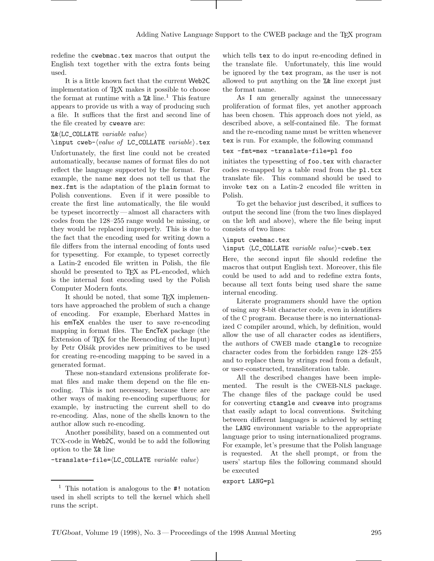redefine the cwebmac.tex macros that output the English text together with the extra fonts being used.

It is a little known fact that the current Web2C implementation of TEX makes it possible to choose the format at runtime with a  $%$  line.<sup>1</sup> This feature appears to provide us with a way of producing such a file. It suffices that the first and second line of the file created by cweave are:

#### $\&$ k(LC\_COLLATE variable value)

\input cweb- $\langle value\ of\ LC\_COLLATE\ variable\rangle.$ tex Unfortunately, the first line could not be created automatically, because names of format files do not reflect the language supported by the format. For example, the name mex does not tell us that the mex.fmt is the adaptation of the plain format to Polish conventions. Even if it were possible to create the first line automatically, the file would be typeset incorrectly— almost all characters with codes from the 128–255 range would be missing, or they would be replaced improperly. This is due to the fact that the encoding used for writing down a file differs from the internal encoding of fonts used for typesetting. For example, to typeset correctly a Latin-2 encoded file written in Polish, the file should be presented to TEX as PL-encoded, which is the internal font encoding used by the Polish Computer Modern fonts.

It should be noted, that some TFX implementors have approached the problem of such a change of encoding. For example, Eberhard Mattes in his emTeX enables the user to save re-encoding mapping in format files. The EncTeX package (the Extension of T<sub>E</sub>X for the Reencoding of the Input) by Petr Olšák provides new primitives to be used for creating re-encoding mapping to be saved in a generated format.

These non-standard extensions proliferate format files and make them depend on the file encoding. This is not necessary, because there are other ways of making re-encoding superfluous; for example, by instructing the current shell to do re-encoding. Alas, none of the shells known to the author allow such re-encoding.

Another possibility, based on a commented out TCX-code in Web2C, would be to add the following option to the %& line

 $-$ translate-file= $\langle$ LC\_COLLATE *variable value* $\rangle$ 

which tells tex to do input re-encoding defined in the translate file. Unfortunately, this line would be ignored by the tex program, as the user is not allowed to put anything on the %& line except just the format name.

As I am generally against the unnecessary proliferation of format files, yet another approach has been chosen. This approach does not yield, as described above, a self-contained file. The format and the re-encoding name must be written whenever tex is run. For example, the following command

#### tex -fmt=mex -translate-file=pl foo

initiates the typesetting of foo.tex with character codes re-mapped by a table read from the pl.tcx translate file. This command should be used to invoke tex on a Latin-2 encoded file written in Polish.

To get the behavior just described, it suffices to output the second line (from the two lines displayed on the left and above), where the file being input consists of two lines:

### \input cwebmac.tex

\input  $\langle LC\_COLLATE \ variable \ value \rangle$ -cweb.tex

Here, the second input file should redefine the macros that output English text. Moreover, this file could be used to add and to redefine extra fonts, because all text fonts being used share the same internal encoding.

Literate programmers should have the option of using any 8-bit character code, even in identifiers of the C program. Because there is no internationalized C compiler around, which, by definition, would allow the use of all character codes as identifiers, the authors of CWEB made ctangle to recognize character codes from the forbidden range 128–255 and to replace them by strings read from a default, or user-constructed, transliteration table.

All the described changes have been implemented. The result is the CWEB-NLS package. The change files of the package could be used for converting ctangle and cweave into programs that easily adapt to local conventions. Switching between different languages is achieved by setting the LANG environment variable to the appropriate language prior to using internationalized programs. For example, let's presume that the Polish language is requested. At the shell prompt, or from the users' startup files the following command should be executed

export LANG=pl

<sup>1</sup> This notation is analogous to the #! notation used in shell scripts to tell the kernel which shell runs the script.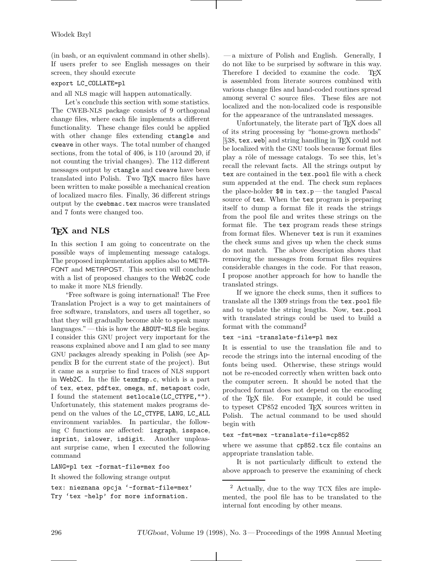(in bash, or an equivalent command in other shells). If users prefer to see English messages on their screen, they should execute

### export LC\_COLLATE=pl

and all NLS magic will happen automatically.

Let's conclude this section with some statistics. The CWEB-NLS package consists of 9 orthogonal change files, where each file implements a different functionality. These change files could be applied with other change files extending ctangle and cweave in other ways. The total number of changed sections, from the total of 406, is 110 (around 20, if not counting the trivial changes). The 112 different messages output by ctangle and cweave have been translated into Polish. Two TEX macro files have been written to make possible a mechanical creation of localized macro files. Finally, 36 different strings output by the cwebmac.tex macros were translated and 7 fonts were changed too.

# **TEX and NLS**

In this section I am going to concentrate on the possible ways of implementing message catalogs. The proposed implementation applies also to META-FONT and METAPOST. This section will conclude with a list of proposed changes to the Web2C code to make it more NLS friendly.

"Free software is going international! The Free Translation Project is a way to get maintainers of free software, translators, and users all together, so that they will gradually become able to speak many languages."— this is how the ABOUT-NLS file begins. I consider this GNU project very important for the reasons explained above and I am glad to see many GNU packages already speaking in Polish (see Appendix B for the current state of the project). But it came as a surprise to find traces of NLS support in Web2C. In the file texmfmp.c, which is a part of tex, etex, pdftex, omega, mf, metapost code, I found the statement setlocale(LC\_CTYPE,""). Unfortunately, this statement makes programs depend on the values of the LC\_CTYPE, LANG, LC\_ALL environment variables. In particular, the following C functions are affected: isgraph, isspace, isprint, islower, isdigit. Another unpleasant surprise came, when I executed the following command

LANG=pl tex -format-file=mex foo

```
It showed the following strange output
```

```
tex: nieznana opcja '-format-file=mex'
Try 'tex -help' for more information.
```
— a mixture of Polish and English. Generally, I do not like to be surprised by software in this way. Therefore I decided to examine the code. TFX is assembled from literate sources combined with various change files and hand-coded routines spread among several C source files. These files are not localized and the non-localized code is responsible for the appearance of the untranslated messages.

Unfortunately, the literate part of T<sub>E</sub>X does all of its string processing by "home-grown methods" [§38, tex.web] and string handling in TEX could not be localized with the GNU tools because format files play a rôle of message catalogs. To see this, let's recall the relevant facts. All the strings output by tex are contained in the tex.pool file with a check sum appended at the end. The check sum replaces the place-holder \$@ in tex.p—the tangled Pascal source of tex. When the tex program is preparing itself to dump a format file it reads the strings from the pool file and writes these strings on the format file. The tex program reads these strings from format files. Whenever tex is run it examines the check sums and gives up when the check sums do not match. The above description shows that removing the messages from format files requires considerable changes in the code. For that reason, I propose another approach for how to handle the translated strings.

If we ignore the check sums, then it suffices to translate all the 1309 strings from the tex.pool file and to update the string lengths. Now, tex.pool with translated strings could be used to build a format with the command<sup>2</sup>

## tex -ini -translate-file=pl mex

It is essential to use the translation file and to recode the strings into the internal encoding of the fonts being used. Otherwise, these strings would not be re-encoded correctly when written back onto the computer screen. It should be noted that the produced format does not depend on the encoding of the TEX file. For example, it could be used to typeset CP852 encoded TEX sources written in Polish. The actual command to be used should begin with

### tex -fmt=mex -translate-file=cp852

where we assume that cp852.tcx file contains an appropriate translation table.

It is not particularly difficult to extend the above approach to preserve the examining of check

<sup>2</sup> Actually, due to the way TCX files are implemented, the pool file has to be translated to the internal font encoding by other means.